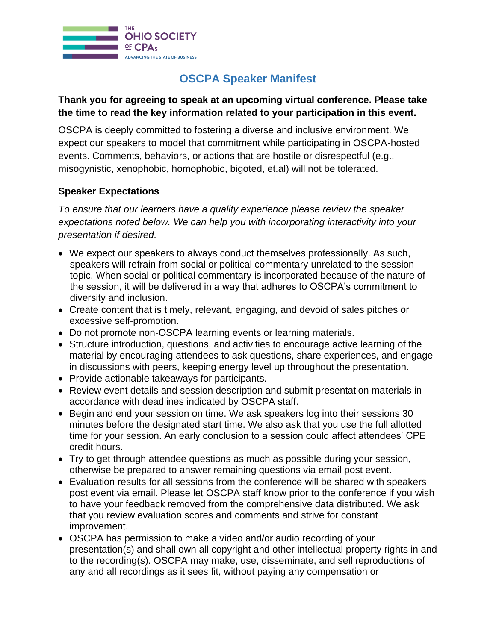

## **OSCPA Speaker Manifest**

## **Thank you for agreeing to speak at an upcoming virtual conference. Please take the time to read the key information related to your participation in this event.**

OSCPA is deeply committed to fostering a diverse and inclusive environment. We expect our speakers to model that commitment while participating in OSCPA-hosted events. Comments, behaviors, or actions that are hostile or disrespectful (e.g., misogynistic, xenophobic, homophobic, bigoted, et.al) will not be tolerated.

## **Speaker Expectations**

*To ensure that our learners have a quality experience please review the speaker expectations noted below. We can help you with incorporating interactivity into your presentation if desired.* 

- We expect our speakers to always conduct themselves professionally. As such, speakers will refrain from social or political commentary unrelated to the session topic. When social or political commentary is incorporated because of the nature of the session, it will be delivered in a way that adheres to OSCPA's commitment to diversity and inclusion.
- Create content that is timely, relevant, engaging, and devoid of sales pitches or excessive self-promotion.
- Do not promote non-OSCPA learning events or learning materials.
- Structure introduction, questions, and activities to encourage active learning of the material by encouraging attendees to ask questions, share experiences, and engage in discussions with peers, keeping energy level up throughout the presentation.
- Provide actionable takeaways for participants.
- Review event details and session description and submit presentation materials in accordance with deadlines indicated by OSCPA staff.
- Begin and end your session on time. We ask speakers log into their sessions 30 minutes before the designated start time. We also ask that you use the full allotted time for your session. An early conclusion to a session could affect attendees' CPE credit hours.
- Try to get through attendee questions as much as possible during your session, otherwise be prepared to answer remaining questions via email post event.
- Evaluation results for all sessions from the conference will be shared with speakers post event via email. Please let OSCPA staff know prior to the conference if you wish to have your feedback removed from the comprehensive data distributed. We ask that you review evaluation scores and comments and strive for constant improvement.
- OSCPA has permission to make a video and/or audio recording of your presentation(s) and shall own all copyright and other intellectual property rights in and to the recording(s). OSCPA may make, use, disseminate, and sell reproductions of any and all recordings as it sees fit, without paying any compensation or